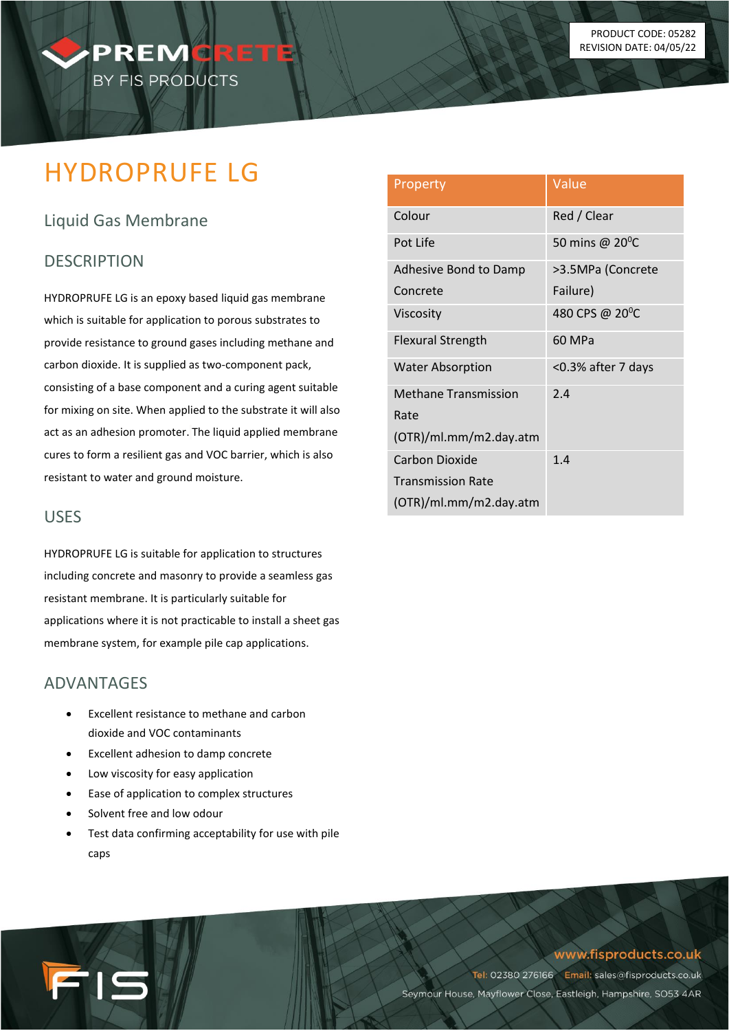# HYDROPRUFE LG

PREMCRET

BY FIS PRODUCTS

# Liquid Gas Membrane

## **DESCRIPTION**

HYDROPRUFE LG is an epoxy based liquid gas membrane which is suitable for application to porous substrates to provide resistance to ground gases including methane and carbon dioxide. It is supplied as two-component pack, consisting of a base component and a curing agent suitable for mixing on site. When applied to the substrate it will also act as an adhesion promoter. The liquid applied membrane cures to form a resilient gas and VOC barrier, which is also resistant to water and ground moisture.

### USES

HYDROPRUFE LG is suitable for application to structures including concrete and masonry to provide a seamless gas resistant membrane. It is particularly suitable for applications where it is not practicable to install a sheet gas membrane system, for example pile cap applications.

#### ADVANTAGES

- Excellent resistance to methane and carbon dioxide and VOC contaminants
- Excellent adhesion to damp concrete
- Low viscosity for easy application
- Ease of application to complex structures
- Solvent free and low odour

715

Test data confirming acceptability for use with pile caps

| Property                    | Value                       |
|-----------------------------|-----------------------------|
| Colour                      | Red / Clear                 |
| Pot Life                    | 50 mins @ $20^{\circ}$ C    |
| Adhesive Bond to Damp       | >3.5MPa (Concrete           |
| Concrete                    | Failure)                    |
| Viscosity                   | 480 CPS @ 20 <sup>°</sup> C |
| <b>Flexural Strength</b>    | 60 MPa                      |
| <b>Water Absorption</b>     | <0.3% after 7 days          |
| <b>Methane Transmission</b> | 2.4                         |
| Rate                        |                             |
| (OTR)/ml.mm/m2.day.atm      |                             |
| Carbon Dioxide              | 1.4                         |
| <b>Transmission Rate</b>    |                             |
| (OTR)/ml.mm/m2.day.atm      |                             |

#### www.fisproducts.co.uk

Tel: 02380 276166 Email: sales@fisproducts.co.uk Seymour House, Mayflower Close, Eastleigh, Hampshire, SO53 4AR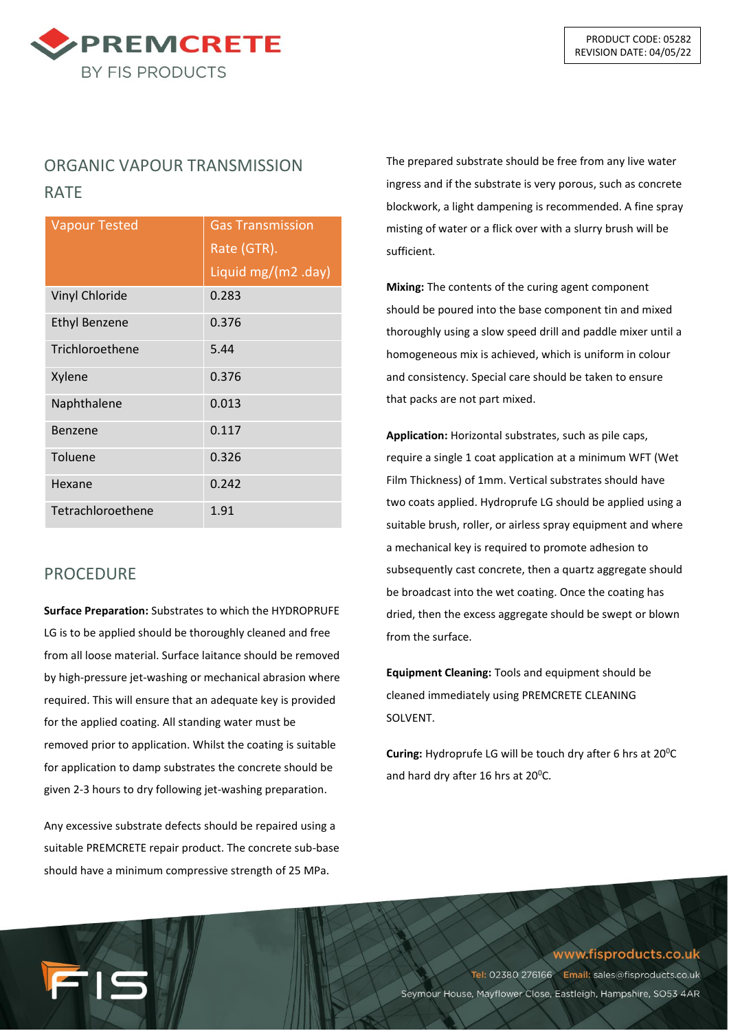

# ORGANIC VAPOUR TRANSMISSION RATE

| <b>Vapour Tested</b> | <b>Gas Transmission</b> |
|----------------------|-------------------------|
|                      | Rate (GTR).             |
|                      | Liquid mg/(m2 .day)     |
| Vinyl Chloride       | 0.283                   |
| <b>Ethyl Benzene</b> | 0.376                   |
| Trichloroethene      | 5.44                    |
| Xylene               | 0.376                   |
| Naphthalene          | 0.013                   |
| Benzene              | 0.117                   |
| Toluene              | 0.326                   |
| Hexane               | 0.242                   |
| Tetrachloroethene    | 1.91                    |

# PROCEDURE

**Surface Preparation:** Substrates to which the HYDROPRUFE LG is to be applied should be thoroughly cleaned and free from all loose material. Surface laitance should be removed by high-pressure jet-washing or mechanical abrasion where required. This will ensure that an adequate key is provided for the applied coating. All standing water must be removed prior to application. Whilst the coating is suitable for application to damp substrates the concrete should be given 2-3 hours to dry following jet-washing preparation.

Any excessive substrate defects should be repaired using a suitable PREMCRETE repair product. The concrete sub-base should have a minimum compressive strength of 25 MPa.

15

The prepared substrate should be free from any live water ingress and if the substrate is very porous, such as concrete blockwork, a light dampening is recommended. A fine spray misting of water or a flick over with a slurry brush will be sufficient.

**Mixing:** The contents of the curing agent component should be poured into the base component tin and mixed thoroughly using a slow speed drill and paddle mixer until a homogeneous mix is achieved, which is uniform in colour and consistency. Special care should be taken to ensure that packs are not part mixed.

**Application:** Horizontal substrates, such as pile caps, require a single 1 coat application at a minimum WFT (Wet Film Thickness) of 1mm. Vertical substrates should have two coats applied. Hydroprufe LG should be applied using a suitable brush, roller, or airless spray equipment and where a mechanical key is required to promote adhesion to subsequently cast concrete, then a quartz aggregate should be broadcast into the wet coating. Once the coating has dried, then the excess aggregate should be swept or blown from the surface.

**Equipment Cleaning:** Tools and equipment should be cleaned immediately using PREMCRETE CLEANING SOLVENT.

**Curing:** Hydroprufe LG will be touch dry after 6 hrs at 20<sup>°</sup>C and hard dry after 16 hrs at  $20^{\circ}$ C.

www.fisproducts.co.uk

Tel: 02380 276166 Email: sales@fisproducts.co.uk Seymour House, Mayflower Close, Eastleigh, Hampshire, SO53 4AR